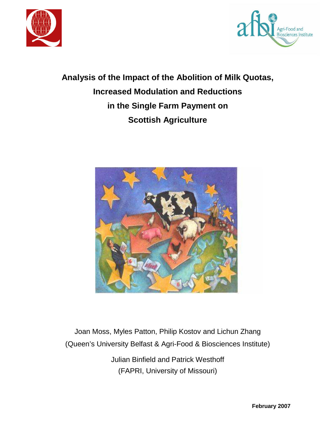



**Analysis of the Impact of the Abolition of Milk Quotas, Increased Modulation and Reductions in the Single Farm Payment on Scottish Agriculture** 



Joan Moss, Myles Patton, Philip Kostov and Lichun Zhang (Queen's University Belfast & Agri-Food & Biosciences Institute)

> Julian Binfield and Patrick Westhoff (FAPRI, University of Missouri)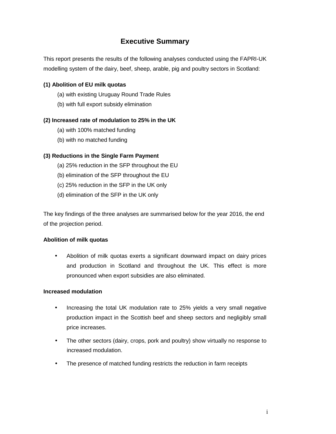# **Executive Summary**

This report presents the results of the following analyses conducted using the FAPRI-UK modelling system of the dairy, beef, sheep, arable, pig and poultry sectors in Scotland:

# **(1) Abolition of EU milk quotas**

- (a) with existing Uruguay Round Trade Rules
- (b) with full export subsidy elimination

# **(2) Increased rate of modulation to 25% in the UK**

- (a) with 100% matched funding
- (b) with no matched funding

# **(3) Reductions in the Single Farm Payment**

- (a) 25% reduction in the SFP throughout the EU
- (b) elimination of the SFP throughout the EU
- (c) 25% reduction in the SFP in the UK only
- (d) elimination of the SFP in the UK only

The key findings of the three analyses are summarised below for the year 2016, the end of the projection period.

#### **Abolition of milk quotas**

• Abolition of milk quotas exerts a significant downward impact on dairy prices and production in Scotland and throughout the UK. This effect is more pronounced when export subsidies are also eliminated.

#### **Increased modulation**

- Increasing the total UK modulation rate to 25% yields a very small negative production impact in the Scottish beef and sheep sectors and negligibly small price increases.
- The other sectors (dairy, crops, pork and poultry) show virtually no response to increased modulation.
- The presence of matched funding restricts the reduction in farm receipts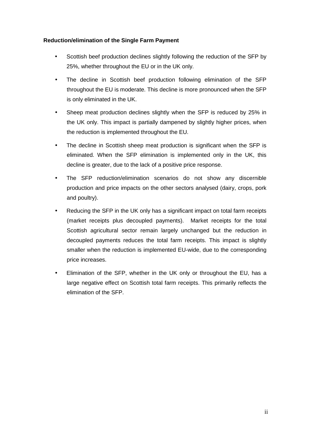# **Reduction/elimination of the Single Farm Payment**

- Scottish beef production declines slightly following the reduction of the SFP by 25%, whether throughout the EU or in the UK only.
- The decline in Scottish beef production following elimination of the SFP throughout the EU is moderate. This decline is more pronounced when the SFP is only eliminated in the UK.
- Sheep meat production declines slightly when the SFP is reduced by 25% in the UK only. This impact is partially dampened by slightly higher prices, when the reduction is implemented throughout the EU.
- The decline in Scottish sheep meat production is significant when the SFP is eliminated. When the SFP elimination is implemented only in the UK, this decline is greater, due to the lack of a positive price response.
- The SFP reduction/elimination scenarios do not show any discernible production and price impacts on the other sectors analysed (dairy, crops, pork and poultry).
- Reducing the SFP in the UK only has a significant impact on total farm receipts (market receipts plus decoupled payments). Market receipts for the total Scottish agricultural sector remain largely unchanged but the reduction in decoupled payments reduces the total farm receipts. This impact is slightly smaller when the reduction is implemented EU-wide, due to the corresponding price increases.
- Elimination of the SFP, whether in the UK only or throughout the EU, has a large negative effect on Scottish total farm receipts. This primarily reflects the elimination of the SFP.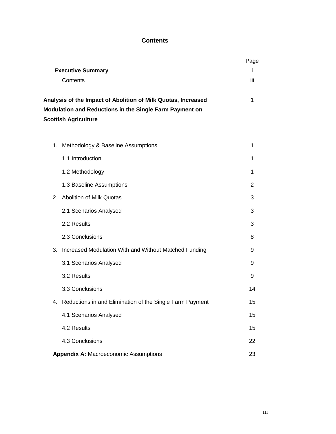# **Contents**

|    | <b>Executive Summary</b><br>Contents                                                                                                                    | Page<br>Ť<br>iii |
|----|---------------------------------------------------------------------------------------------------------------------------------------------------------|------------------|
|    | Analysis of the Impact of Abolition of Milk Quotas, Increased<br>Modulation and Reductions in the Single Farm Payment on<br><b>Scottish Agriculture</b> | 1                |
| 1. | Methodology & Baseline Assumptions                                                                                                                      | 1                |
|    | 1.1 Introduction                                                                                                                                        | 1                |
|    | 1.2 Methodology                                                                                                                                         | 1                |
|    | 1.3 Baseline Assumptions                                                                                                                                | 2                |
| 2. | Abolition of Milk Quotas                                                                                                                                | 3                |
|    | 2.1 Scenarios Analysed                                                                                                                                  | 3                |
|    | 2.2 Results                                                                                                                                             | 3                |
|    | 2.3 Conclusions                                                                                                                                         | 8                |
| 3. | Increased Modulation With and Without Matched Funding                                                                                                   | 9                |
|    | 3.1 Scenarios Analysed                                                                                                                                  | 9                |
|    | 3.2 Results                                                                                                                                             | 9                |
|    | 3.3 Conclusions                                                                                                                                         | 14               |
|    | 4. Reductions in and Elimination of the Single Farm Payment                                                                                             | 15               |
|    | 4.1 Scenarios Analysed                                                                                                                                  | 15               |
|    | 4.2 Results                                                                                                                                             | 15               |
|    | 4.3 Conclusions                                                                                                                                         | 22               |
|    | <b>Appendix A: Macroeconomic Assumptions</b>                                                                                                            | 23               |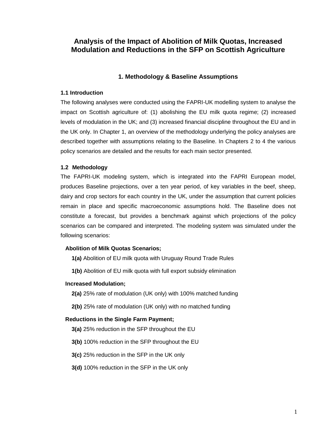# **Analysis of the Impact of Abolition of Milk Quotas, Increased Modulation and Reductions in the SFP on Scottish Agriculture**

#### **1. Methodology & Baseline Assumptions**

#### **1.1 Introduction**

The following analyses were conducted using the FAPRI-UK modelling system to analyse the impact on Scottish agriculture of: (1) abolishing the EU milk quota regime; (2) increased levels of modulation in the UK; and (3) increased financial discipline throughout the EU and in the UK only. In Chapter 1, an overview of the methodology underlying the policy analyses are described together with assumptions relating to the Baseline. In Chapters 2 to 4 the various policy scenarios are detailed and the results for each main sector presented.

#### **1.2 Methodology**

The FAPRI-UK modeling system, which is integrated into the FAPRI European model, produces Baseline projections, over a ten year period, of key variables in the beef, sheep, dairy and crop sectors for each country in the UK, under the assumption that current policies remain in place and specific macroeconomic assumptions hold. The Baseline does not constitute a forecast, but provides a benchmark against which projections of the policy scenarios can be compared and interpreted. The modeling system was simulated under the following scenarios:

#### **Abolition of Milk Quotas Scenarios;**

- **1(a)** Abolition of EU milk quota with Uruguay Round Trade Rules
- **1(b)** Abolition of EU milk quota with full export subsidy elimination

#### **Increased Modulation;**

- **2(a)** 25% rate of modulation (UK only) with 100% matched funding
- **2(b)** 25% rate of modulation (UK only) with no matched funding

#### **Reductions in the Single Farm Payment;**

- **3(a)** 25% reduction in the SFP throughout the EU
- **3(b)** 100% reduction in the SFP throughout the EU
- **3(c)** 25% reduction in the SFP in the UK only
- **3(d)** 100% reduction in the SFP in the UK only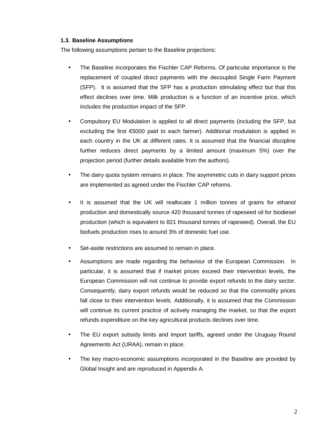### **1.3. Baseline Assumptions**

The following assumptions pertain to the Baseline projections:

- The Baseline incorporates the Fischler CAP Reforms. Of particular importance is the replacement of coupled direct payments with the decoupled Single Farm Payment (SFP). It is assumed that the SFP has a production stimulating effect but that this effect declines over time. Milk production is a function of an incentive price, which includes the production impact of the SFP.
- Compulsory EU Modulation is applied to all direct payments (including the SFP, but excluding the first €5000 paid to each farmer). Additional modulation is applied in each country in the UK at different rates. It is assumed that the financial discipline further reduces direct payments by a limited amount (maximum 5%) over the projection period (further details available from the authors).
- The dairy quota system remains in place. The asymmetric cuts in dairy support prices are implemented as agreed under the Fischler CAP reforms.
- It is assumed that the UK will reallocate 1 million tonnes of grains for ethanol production and domestically source 420 thousand tonnes of rapeseed oil for biodiesel production (which is equivalent to 821 thousand tonnes of rapeseed). Overall, the EU biofuels production rises to around 3% of domestic fuel use.
- Set-aside restrictions are assumed to remain in place.
- Assumptions are made regarding the behaviour of the European Commission. In particular, it is assumed that if market prices exceed their intervention levels, the European Commission will not continue to provide export refunds to the dairy sector. Consequently, dairy export refunds would be reduced so that the commodity prices fall close to their intervention levels. Additionally, it is assumed that the Commission will continue its current practice of actively managing the market, so that the export refunds expenditure on the key agricultural products declines over time.
- The EU export subsidy limits and import tariffs, agreed under the Uruguay Round Agreements Act (URAA), remain in place.
- The key macro-economic assumptions incorporated in the Baseline are provided by Global Insight and are reproduced in Appendix A.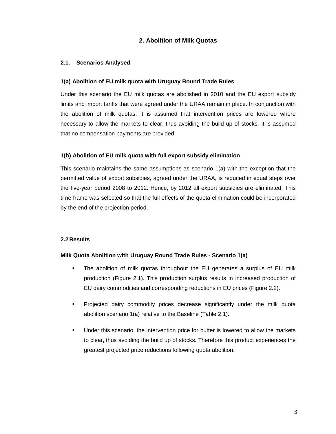# **2. Abolition of Milk Quotas**

### **2.1. Scenarios Analysed**

### **1(a) Abolition of EU milk quota with Uruguay Round Trade Rules**

Under this scenario the EU milk quotas are abolished in 2010 and the EU export subsidy limits and import tariffs that were agreed under the URAA remain in place. In conjunction with the abolition of milk quotas, it is assumed that intervention prices are lowered where necessary to allow the markets to clear, thus avoiding the build up of stocks. It is assumed that no compensation payments are provided.

#### **1(b) Abolition of EU milk quota with full export subsidy elimination**

This scenario maintains the same assumptions as scenario 1(a) with the exception that the permitted value of export subsidies, agreed under the URAA, is reduced in equal steps over the five-year period 2008 to 2012. Hence, by 2012 all export subsidies are eliminated. This time frame was selected so that the full effects of the quota elimination could be incorporated by the end of the projection period.

#### **2.2 Results**

#### **Milk Quota Abolition with Uruguay Round Trade Rules - Scenario 1(a)**

- The abolition of milk quotas throughout the EU generates a surplus of EU milk production (Figure 2.1). This production surplus results in increased production of EU dairy commodities and corresponding reductions in EU prices (Figure 2.2).
- Projected dairy commodity prices decrease significantly under the milk quota abolition scenario 1(a) relative to the Baseline (Table 2.1).
- Under this scenario, the intervention price for butter is lowered to allow the markets to clear, thus avoiding the build up of stocks. Therefore this product experiences the greatest projected price reductions following quota abolition.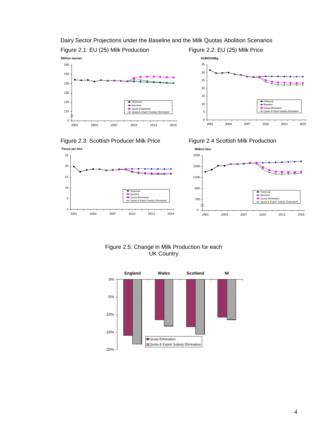



# Dairy Sector Projections under the Baseline and the Milk Quotas Abolition Scenarios









#### Figure 2.5: Change in Milk Production for each UK Country

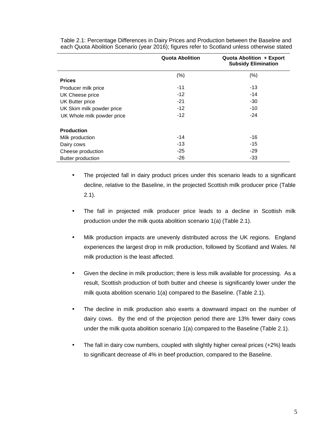|                            | <b>Quota Abolition</b> | Quota Abolition + Export<br><b>Subsidy Elimination</b> |
|----------------------------|------------------------|--------------------------------------------------------|
|                            | (% )                   | (% )                                                   |
| <b>Prices</b>              |                        |                                                        |
| Producer milk price        | $-11$                  | $-13$                                                  |
| UK Cheese price            | $-12$                  | $-14$                                                  |
| <b>UK Butter price</b>     | $-21$                  | $-30$                                                  |
| UK Skim milk powder price  | $-12$                  | $-10$                                                  |
| UK Whole milk powder price | $-12$                  | $-24$                                                  |
| <b>Production</b>          |                        |                                                        |
| Milk production            | $-14$                  | $-16$                                                  |
| Dairy cows                 | $-13$                  | $-15$                                                  |
| Cheese production          | $-25$                  | $-29$                                                  |
| <b>Butter production</b>   | $-26$                  | $-33$                                                  |

Table 2.1: Percentage Differences in Dairy Prices and Production between the Baseline and each Quota Abolition Scenario (year 2016); figures refer to Scotland unless otherwise stated

- The projected fall in dairy product prices under this scenario leads to a significant decline, relative to the Baseline, in the projected Scottish milk producer price (Table 2.1).
- The fall in projected milk producer price leads to a decline in Scottish milk production under the milk quota abolition scenario 1(a) (Table 2.1).
- Milk production impacts are unevenly distributed across the UK regions. England experiences the largest drop in milk production, followed by Scotland and Wales. NI milk production is the least affected.
- Given the decline in milk production; there is less milk available for processing. As a result, Scottish production of both butter and cheese is significantly lower under the milk quota abolition scenario 1(a) compared to the Baseline. (Table 2.1).
- The decline in milk production also exerts a downward impact on the number of dairy cows. By the end of the projection period there are 13% fewer dairy cows under the milk quota abolition scenario 1(a) compared to the Baseline (Table 2.1).
- The fall in dairy cow numbers, coupled with slightly higher cereal prices (+2%) leads to significant decrease of 4% in beef production, compared to the Baseline.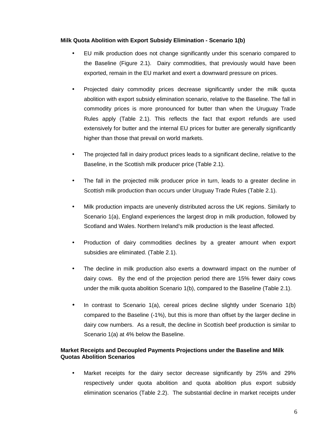#### **Milk Quota Abolition with Export Subsidy Elimination - Scenario 1(b)**

- EU milk production does not change significantly under this scenario compared to the Baseline (Figure 2.1). Dairy commodities, that previously would have been exported, remain in the EU market and exert a downward pressure on prices.
- Projected dairy commodity prices decrease significantly under the milk quota abolition with export subsidy elimination scenario, relative to the Baseline. The fall in commodity prices is more pronounced for butter than when the Uruguay Trade Rules apply (Table 2.1). This reflects the fact that export refunds are used extensively for butter and the internal EU prices for butter are generally significantly higher than those that prevail on world markets.
- The projected fall in dairy product prices leads to a significant decline, relative to the Baseline, in the Scottish milk producer price (Table 2.1).
- The fall in the projected milk producer price in turn, leads to a greater decline in Scottish milk production than occurs under Uruguay Trade Rules (Table 2.1).
- Milk production impacts are unevenly distributed across the UK regions. Similarly to Scenario 1(a), England experiences the largest drop in milk production, followed by Scotland and Wales. Northern Ireland's milk production is the least affected.
- Production of dairy commodities declines by a greater amount when export subsidies are eliminated. (Table 2.1).
- The decline in milk production also exerts a downward impact on the number of dairy cows. By the end of the projection period there are 15% fewer dairy cows under the milk quota abolition Scenario 1(b), compared to the Baseline (Table 2.1).
- In contrast to Scenario 1(a), cereal prices decline slightly under Scenario 1(b) compared to the Baseline (-1%), but this is more than offset by the larger decline in dairy cow numbers. As a result, the decline in Scottish beef production is similar to Scenario 1(a) at 4% below the Baseline.

#### **Market Receipts and Decoupled Payments Projections under the Baseline and Milk Quotas Abolition Scenarios**

• Market receipts for the dairy sector decrease significantly by 25% and 29% respectively under quota abolition and quota abolition plus export subsidy elimination scenarios (Table 2.2). The substantial decline in market receipts under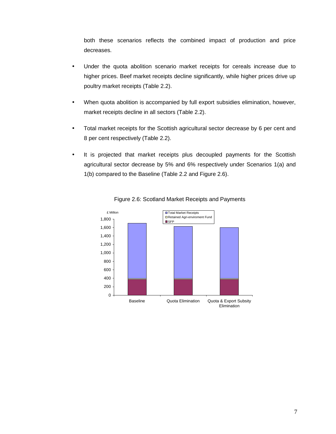both these scenarios reflects the combined impact of production and price decreases.

- Under the quota abolition scenario market receipts for cereals increase due to higher prices. Beef market receipts decline significantly, while higher prices drive up poultry market receipts (Table 2.2).
- When quota abolition is accompanied by full export subsidies elimination, however, market receipts decline in all sectors (Table 2.2).
- Total market receipts for the Scottish agricultural sector decrease by 6 per cent and 8 per cent respectively (Table 2.2).
- It is projected that market receipts plus decoupled payments for the Scottish agricultural sector decrease by 5% and 6% respectively under Scenarios 1(a) and 1(b) compared to the Baseline (Table 2.2 and Figure 2.6).



Figure 2.6: Scotland Market Receipts and Payments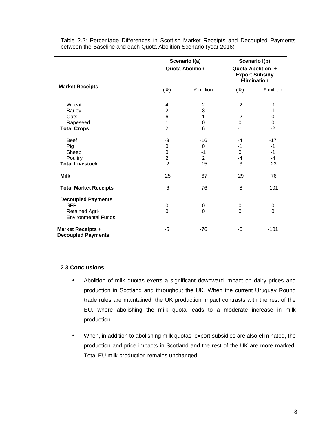|                                                                                                |                                                                      | Scenario I(a)<br><b>Quota Abolition</b>                   | Scenario I(b)<br>Quota Abolition +<br><b>Export Subsidy</b><br><b>Elimination</b> |                                                           |  |
|------------------------------------------------------------------------------------------------|----------------------------------------------------------------------|-----------------------------------------------------------|-----------------------------------------------------------------------------------|-----------------------------------------------------------|--|
| <b>Market Receipts</b>                                                                         | $(\%)$                                                               | £ million                                                 | $(\%)$                                                                            | £ million                                                 |  |
| Wheat<br><b>Barley</b><br>Oats<br>Rapeseed<br><b>Total Crops</b><br><b>Beef</b><br>Pig         | 4<br>$\overline{2}$<br>6<br>1<br>$\overline{2}$<br>$-3$<br>$\pmb{0}$ | $\overline{\mathbf{c}}$<br>3<br>1<br>0<br>6<br>$-16$<br>0 | $-2$<br>$-1$<br>$-2$<br>$\boldsymbol{0}$<br>$-1$<br>$-4$<br>$-1$                  | $-1$<br>$-1$<br>0<br>$\mathbf 0$<br>$-2$<br>$-17$<br>$-1$ |  |
| Sheep<br>Poultry<br><b>Total Livestock</b>                                                     | $\mathbf 0$<br>$\overline{2}$<br>$-2$                                | $-1$<br>2<br>$-15$                                        | 0<br>$-4$<br>$-3$                                                                 | $-1$<br>$-4$<br>$-23$                                     |  |
| <b>Milk</b>                                                                                    | $-25$                                                                | $-67$                                                     | $-29$                                                                             | $-76$                                                     |  |
| <b>Total Market Receipts</b>                                                                   | -6                                                                   | $-76$                                                     | -8                                                                                | $-101$                                                    |  |
| <b>Decoupled Payments</b><br><b>SFP</b><br><b>Retained Agri-</b><br><b>Environmental Funds</b> | 0<br>$\Omega$                                                        | 0<br>$\Omega$                                             | 0<br>$\Omega$                                                                     | 0<br>$\Omega$                                             |  |
| Market Receipts +<br><b>Decoupled Payments</b>                                                 | -5                                                                   | $-76$                                                     | -6                                                                                | $-101$                                                    |  |

Table 2.2: Percentage Differences in Scottish Market Receipts and Decoupled Payments between the Baseline and each Quota Abolition Scenario (year 2016)

#### **2.3 Conclusions**

- Abolition of milk quotas exerts a significant downward impact on dairy prices and production in Scotland and throughout the UK. When the current Uruguay Round trade rules are maintained, the UK production impact contrasts with the rest of the EU, where abolishing the milk quota leads to a moderate increase in milk production.
- When, in addition to abolishing milk quotas, export subsidies are also eliminated, the production and price impacts in Scotland and the rest of the UK are more marked. Total EU milk production remains unchanged.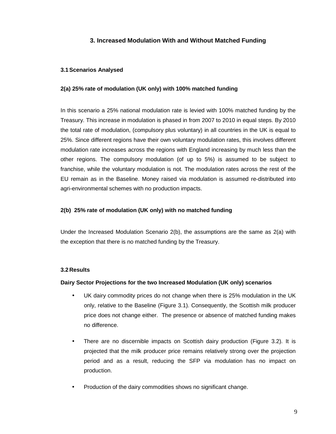# **3. Increased Modulation With and Without Matched Funding**

# **3.1 Scenarios Analysed**

### **2(a) 25% rate of modulation (UK only) with 100% matched funding**

In this scenario a 25% national modulation rate is levied with 100% matched funding by the Treasury. This increase in modulation is phased in from 2007 to 2010 in equal steps. By 2010 the total rate of modulation, (compulsory plus voluntary) in all countries in the UK is equal to 25%. Since different regions have their own voluntary modulation rates, this involves different modulation rate increases across the regions with England increasing by much less than the other regions. The compulsory modulation (of up to 5%) is assumed to be subject to franchise, while the voluntary modulation is not. The modulation rates across the rest of the EU remain as in the Baseline. Money raised via modulation is assumed re-distributed into agri-environmental schemes with no production impacts.

#### **2(b) 25% rate of modulation (UK only) with no matched funding**

Under the Increased Modulation Scenario 2(b), the assumptions are the same as 2(a) with the exception that there is no matched funding by the Treasury.

#### **3.2 Results**

#### **Dairy Sector Projections for the two Increased Modulation (UK only) scenarios**

- UK dairy commodity prices do not change when there is 25% modulation in the UK only, relative to the Baseline (Figure 3.1). Consequently, the Scottish milk producer price does not change either. The presence or absence of matched funding makes no difference.
- There are no discernible impacts on Scottish dairy production (Figure 3.2). It is projected that the milk producer price remains relatively strong over the projection period and as a result, reducing the SFP via modulation has no impact on production.
- Production of the dairy commodities shows no significant change.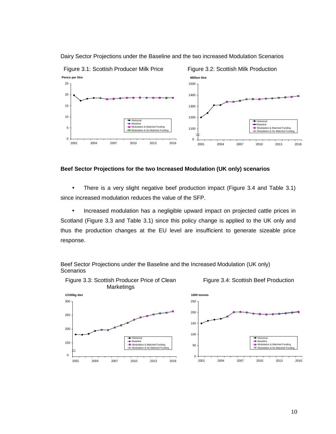

Dairy Sector Projections under the Baseline and the two increased Modulation Scenarios

#### **Beef Sector Projections for the two Increased Modulation (UK only) scenarios**

• There is a very slight negative beef production impact (Figure 3.4 and Table 3.1) since increased modulation reduces the value of the SFP.

• Increased modulation has a negligible upward impact on projected cattle prices in Scotland (Figure 3.3 and Table 3.1) since this policy change is applied to the UK only and thus the production changes at the EU level are insufficient to generate sizeable price response.





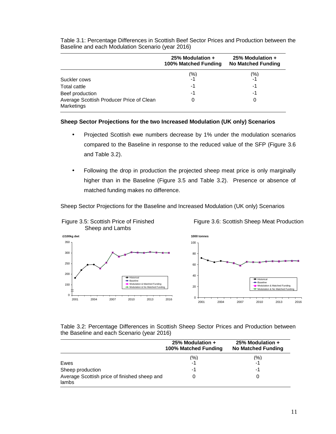|                                                        | 25% Modulation $+$<br>100% Matched Funding | 25% Modulation +<br><b>No Matched Funding</b> |
|--------------------------------------------------------|--------------------------------------------|-----------------------------------------------|
|                                                        | $(\% )$                                    | (%)                                           |
| Suckler cows                                           | $-1$                                       | -1                                            |
| Total cattle                                           | -1                                         | -1                                            |
| Beef production                                        | $-1$                                       | -1                                            |
| Average Scottish Producer Price of Clean<br>Marketings |                                            | 0                                             |

Table 3.1: Percentage Differences in Scottish Beef Sector Prices and Production between the Baseline and each Modulation Scenario (year 2016)

#### **Sheep Sector Projections for the two Increased Modulation (UK only) Scenarios**

- Projected Scottish ewe numbers decrease by 1% under the modulation scenarios compared to the Baseline in response to the reduced value of the SFP (Figure 3.6 and Table 3.2).
- Following the drop in production the projected sheep meat price is only marginally higher than in the Baseline (Figure 3.5 and Table 3.2). Presence or absence of matched funding makes no difference.

Sheep Sector Projections for the Baseline and Increased Modulation (UK only) Scenarios



Table 3.2: Percentage Differences in Scottish Sheep Sector Prices and Production between the Baseline and each Scenario (year 2016)

|                                                       | 25% Modulation $+$<br>100% Matched Funding | 25% Modulation $+$<br><b>No Matched Funding</b> |
|-------------------------------------------------------|--------------------------------------------|-------------------------------------------------|
| Ewes                                                  | $(\% )$<br>-1                              | (%)<br>-1                                       |
| Sheep production                                      | -1                                         | -1                                              |
| Average Scottish price of finished sheep and<br>lambs |                                            | 0                                               |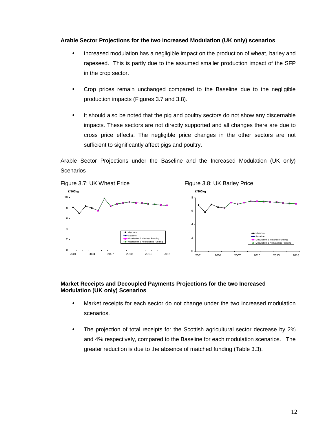#### **Arable Sector Projections for the two Increased Modulation (UK only) scenarios**

- Increased modulation has a negligible impact on the production of wheat, barley and rapeseed. This is partly due to the assumed smaller production impact of the SFP in the crop sector.
- Crop prices remain unchanged compared to the Baseline due to the negligible production impacts (Figures 3.7 and 3.8).
- It should also be noted that the pig and poultry sectors do not show any discernable impacts. These sectors are not directly supported and all changes there are due to cross price effects. The negligible price changes in the other sectors are not sufficient to significantly affect pigs and poultry.

Arable Sector Projections under the Baseline and the Increased Modulation (UK only) **Scenarios** 



#### **Market Receipts and Decoupled Payments Projections for the two Increased Modulation (UK only) Scenarios**

- Market receipts for each sector do not change under the two increased modulation scenarios.
- The projection of total receipts for the Scottish agricultural sector decrease by 2% and 4% respectively, compared to the Baseline for each modulation scenarios. The greater reduction is due to the absence of matched funding (Table 3.3).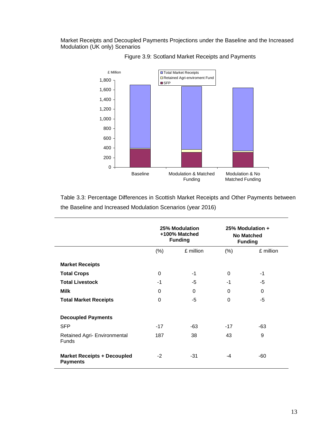Market Receipts and Decoupled Payments Projections under the Baseline and the Increased Modulation (UK only) Scenarios





Table 3.3: Percentage Differences in Scottish Market Receipts and Other Payments between the Baseline and Increased Modulation Scenarios (year 2016)

|                                                       |        | 25% Modulation<br>+100% Matched<br><b>Funding</b> |          | 25% Modulation +<br><b>No Matched</b><br><b>Funding</b> |
|-------------------------------------------------------|--------|---------------------------------------------------|----------|---------------------------------------------------------|
|                                                       | $(\%)$ | £ million                                         | $(\% )$  | £ million                                               |
| <b>Market Receipts</b>                                |        |                                                   |          |                                                         |
| <b>Total Crops</b>                                    | 0      | $-1$                                              | $\Omega$ | $-1$                                                    |
| <b>Total Livestock</b>                                | $-1$   | -5                                                | $-1$     | -5                                                      |
| <b>Milk</b>                                           | 0      | $\Omega$                                          | $\Omega$ | $\Omega$                                                |
| <b>Total Market Receipts</b>                          | 0      | $-5$                                              | $\Omega$ | $-5$                                                    |
| <b>Decoupled Payments</b>                             |        |                                                   |          |                                                         |
| <b>SFP</b>                                            | $-17$  | $-63$                                             | $-17$    | -63                                                     |
| Retained Agri- Environmental<br><b>Funds</b>          | 187    | 38                                                | 43       | 9                                                       |
| <b>Market Receipts + Decoupled</b><br><b>Payments</b> | $-2$   | $-31$                                             | $-4$     | -60                                                     |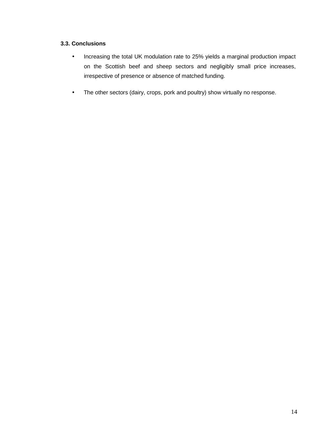# **3.3. Conclusions**

- Increasing the total UK modulation rate to 25% yields a marginal production impact on the Scottish beef and sheep sectors and negligibly small price increases, irrespective of presence or absence of matched funding.
- The other sectors (dairy, crops, pork and poultry) show virtually no response.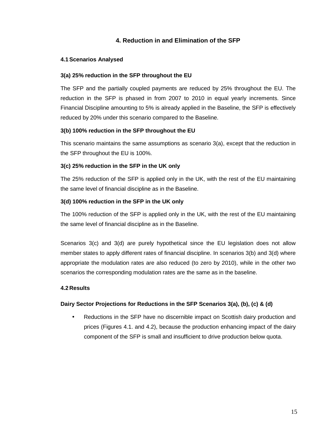# **4. Reduction in and Elimination of the SFP**

#### **4.1 Scenarios Analysed**

### **3(a) 25% reduction in the SFP throughout the EU**

The SFP and the partially coupled payments are reduced by 25% throughout the EU. The reduction in the SFP is phased in from 2007 to 2010 in equal yearly increments. Since Financial Discipline amounting to 5% is already applied in the Baseline, the SFP is effectively reduced by 20% under this scenario compared to the Baseline.

# **3(b) 100% reduction in the SFP throughout the EU**

This scenario maintains the same assumptions as scenario 3(a), except that the reduction in the SFP throughout the EU is 100%.

# **3(c) 25% reduction in the SFP in the UK only**

The 25% reduction of the SFP is applied only in the UK, with the rest of the EU maintaining the same level of financial discipline as in the Baseline.

# **3(d) 100% reduction in the SFP in the UK only**

The 100% reduction of the SFP is applied only in the UK, with the rest of the EU maintaining the same level of financial discipline as in the Baseline.

Scenarios 3(c) and 3(d) are purely hypothetical since the EU legislation does not allow member states to apply different rates of financial discipline. In scenarios 3(b) and 3(d) where appropriate the modulation rates are also reduced (to zero by 2010), while in the other two scenarios the corresponding modulation rates are the same as in the baseline.

# **4.2 Results**

#### **Dairy Sector Projections for Reductions in the SFP Scenarios 3(a), (b), (c) & (d)**

• Reductions in the SFP have no discernible impact on Scottish dairy production and prices (Figures 4.1. and 4.2), because the production enhancing impact of the dairy component of the SFP is small and insufficient to drive production below quota.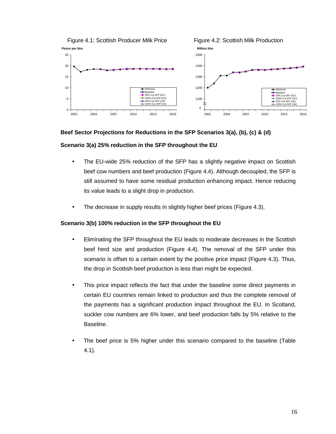



#### **Beef Sector Projections for Reductions in the SFP Scenarios 3(a), (b), (c) & (d)**

#### **Scenario 3(a) 25% reduction in the SFP throughout the EU**

- The EU-wide 25% reduction of the SFP has a slightly negative impact on Scottish beef cow numbers and beef production (Figure 4.4). Although decoupled, the SFP is still assumed to have some residual production enhancing impact. Hence reducing its value leads to a slight drop in production.
- The decrease in supply results in slightly higher beef prices (Figure 4.3).

#### **Scenario 3(b) 100% reduction in the SFP throughout the EU**

- Eliminating the SFP throughout the EU leads to moderate decreases in the Scottish beef herd size and production (Figure 4.4). The removal of the SFP under this scenario is offset to a certain extent by the positive price impact (Figure 4.3). Thus, the drop in Scottish beef production is less than might be expected.
- This price impact reflects the fact that under the baseline some direct payments in certain EU countries remain linked to production and thus the complete removal of the payments has a significant production impact throughout the EU. In Scotland, suckler cow numbers are 6% lower, and beef production falls by 5% relative to the Baseline.
- The beef price is 5% higher under this scenario compared to the baseline (Table 4.1).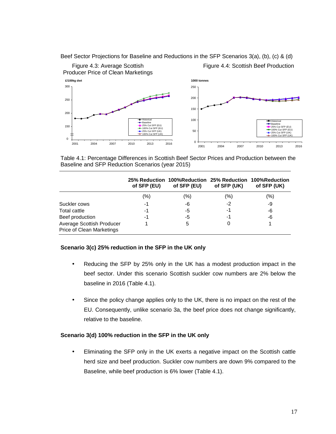



Table 4.1: Percentage Differences in Scottish Beef Sector Prices and Production between the Baseline and SFP Reduction Scenarios (year 2015)

|                                                        | of SFP (EU) | 25% Reduction 100% Reduction 25% Reduction 100% Reduction<br>of SFP (EU) | of SFP (UK) | of SFP (UK) |
|--------------------------------------------------------|-------------|--------------------------------------------------------------------------|-------------|-------------|
|                                                        | (%)         | (%)                                                                      | $(\% )$     | (%)         |
| Suckler cows                                           | -1          | -6                                                                       | -2          | -9          |
| Total cattle                                           | -1          | -5                                                                       | -1          | -6          |
| Beef production                                        | -1          | -5                                                                       | -1          | -6          |
| Average Scottish Producer<br>Price of Clean Marketings |             | 5                                                                        | 0           |             |

#### **Scenario 3(c) 25% reduction in the SFP in the UK only**

- Reducing the SFP by 25% only in the UK has a modest production impact in the beef sector. Under this scenario Scottish suckler cow numbers are 2% below the baseline in 2016 (Table 4.1).
- Since the policy change applies only to the UK, there is no impact on the rest of the EU. Consequently, unlike scenario 3a, the beef price does not change significantly, relative to the baseline.

#### **Scenario 3(d) 100% reduction in the SFP in the UK only**

• Eliminating the SFP only in the UK exerts a negative impact on the Scottish cattle herd size and beef production. Suckler cow numbers are down 9% compared to the Baseline, while beef production is 6% lower (Table 4.1).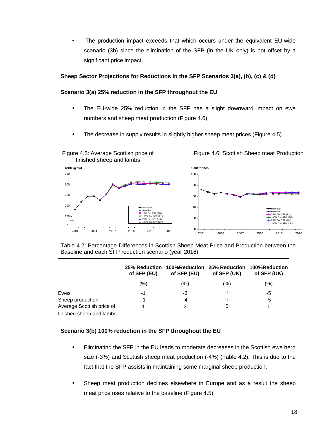• The production impact exceeds that which occurs under the equivalent EU-wide scenario (3b) since the elimination of the SFP (in the UK only) is not offset by a significant price impact.

# **Sheep Sector Projections for Reductions in the SFP Scenarios 3(a), (b), (c) & (d)**

# **Scenario 3(a) 25% reduction in the SFP throughout the EU**

- The EU-wide 25% reduction in the SFP has a slight downward impact on ewe numbers and sheep meat production (Figure 4.6).
- The decrease in supply results in slightly higher sheep meat prices (Figure 4.5).



Table 4.2: Percentage Differences in Scottish Sheep Meat Price and Production between the Baseline and each SFP reduction scenario (year 2016)

|                           | <b>25% Reduction</b><br>of SFP (EU) | 100%Reduction<br>of SFP (EU) | 25% Reduction<br>of SFP (UK) | 100%Reduction<br>of SFP (UK) |
|---------------------------|-------------------------------------|------------------------------|------------------------------|------------------------------|
|                           | (%)                                 | (%)                          | $(\% )$                      | (%)                          |
| Ewes                      | -1                                  | -3                           | -1                           | -5                           |
| Sheep production          | -1                                  | -4                           | -1                           | -5                           |
| Average Scottish price of |                                     | 3                            | 0                            |                              |
| finished sheep and lambs  |                                     |                              |                              |                              |

#### **Scenario 3(b) 100% reduction in the SFP throughout the EU**

- Eliminating the SFP in the EU leads to moderate decreases in the Scottish ewe herd size (-3%) and Scottish sheep meat production (-4%) (Table 4.2). This is due to the fact that the SFP assists in maintaining some marginal sheep production.
- Sheep meat production declines elsewhere in Europe and as a result the sheep meat price rises relative to the baseline (Figure 4.5).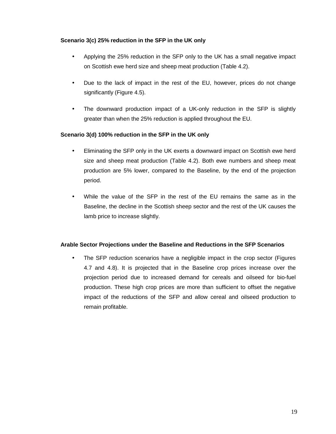# **Scenario 3(c) 25% reduction in the SFP in the UK only**

- Applying the 25% reduction in the SFP only to the UK has a small negative impact on Scottish ewe herd size and sheep meat production (Table 4.2).
- Due to the lack of impact in the rest of the EU, however, prices do not change significantly (Figure 4.5).
- The downward production impact of a UK-only reduction in the SFP is slightly greater than when the 25% reduction is applied throughout the EU.

# **Scenario 3(d) 100% reduction in the SFP in the UK only**

- Eliminating the SFP only in the UK exerts a downward impact on Scottish ewe herd size and sheep meat production (Table 4.2). Both ewe numbers and sheep meat production are 5% lower, compared to the Baseline, by the end of the projection period.
- While the value of the SFP in the rest of the EU remains the same as in the Baseline, the decline in the Scottish sheep sector and the rest of the UK causes the lamb price to increase slightly.

#### **Arable Sector Projections under the Baseline and Reductions in the SFP Scenarios**

The SFP reduction scenarios have a negligible impact in the crop sector (Figures 4.7 and 4.8). It is projected that in the Baseline crop prices increase over the projection period due to increased demand for cereals and oilseed for bio-fuel production. These high crop prices are more than sufficient to offset the negative impact of the reductions of the SFP and allow cereal and oilseed production to remain profitable.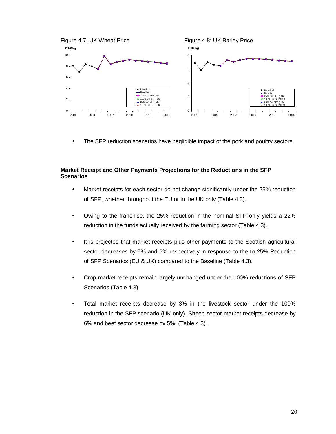

The SFP reduction scenarios have negligible impact of the pork and poultry sectors.

# **Market Receipt and Other Payments Projections for the Reductions in the SFP Scenarios**

- Market receipts for each sector do not change significantly under the 25% reduction of SFP, whether throughout the EU or in the UK only (Table 4.3).
- Owing to the franchise, the 25% reduction in the nominal SFP only yields a 22% reduction in the funds actually received by the farming sector (Table 4.3).
- It is projected that market receipts plus other payments to the Scottish agricultural sector decreases by 5% and 6% respectively in response to the to 25% Reduction of SFP Scenarios (EU & UK) compared to the Baseline (Table 4.3).
- Crop market receipts remain largely unchanged under the 100% reductions of SFP Scenarios (Table 4.3).
- Total market receipts decrease by 3% in the livestock sector under the 100% reduction in the SFP scenario (UK only). Sheep sector market receipts decrease by 6% and beef sector decrease by 5%. (Table 4.3).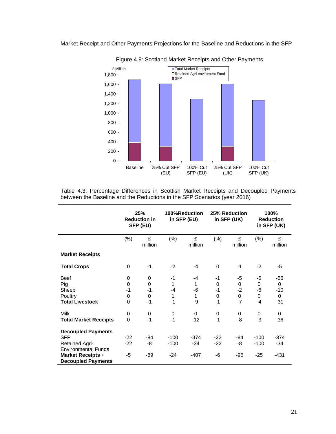

Market Receipt and Other Payments Projections for the Baseline and Reductions in the SFP

Figure 4.9: Scotland Market Receipts and Other Payments

Table 4.3: Percentage Differences in Scottish Market Receipts and Decoupled Payments between the Baseline and the Reductions in the SFP Scenarios (year 2016)

|                                                                                                                                                         | 25%<br><b>Reduction in</b><br>SFP (EU)              |                             | 100%Reduction<br>in SFP (EU)   |                            |                                               | 25% Reduction<br>in SFP (UK)           | 100%<br><b>Reduction</b><br>in SFP (UK) |                                                   |
|---------------------------------------------------------------------------------------------------------------------------------------------------------|-----------------------------------------------------|-----------------------------|--------------------------------|----------------------------|-----------------------------------------------|----------------------------------------|-----------------------------------------|---------------------------------------------------|
|                                                                                                                                                         | $(\%)$                                              | £<br>million                | (%)                            | £<br>million               | $(\% )$                                       | £<br>million                           | (%)                                     | £<br>million                                      |
| <b>Market Receipts</b>                                                                                                                                  |                                                     |                             |                                |                            |                                               |                                        |                                         |                                                   |
| <b>Total Crops</b>                                                                                                                                      | $\mathbf 0$                                         | $-1$                        | $-2$                           | $-4$                       | $\mathbf 0$                                   | $-1$                                   | $-2$                                    | -5                                                |
| <b>Beef</b><br>Pig<br>Sheep<br>Poultry<br><b>Total Livestock</b>                                                                                        | 0<br>$\mathbf 0$<br>$-1$<br>$\mathbf 0$<br>$\Omega$ | 0<br>0<br>$-1$<br>0<br>$-1$ | $-1$<br>1<br>$-4$<br>1<br>$-1$ | -4<br>1<br>$-6$<br>1<br>-9 | -1<br>$\Omega$<br>$-1$<br>$\mathbf 0$<br>$-1$ | -5<br>$\mathbf 0$<br>$-2$<br>0<br>$-7$ | -5<br>0<br>-6<br>$\mathbf 0$<br>$-4$    | -55<br>$\mathbf 0$<br>-10<br>$\mathbf 0$<br>$-31$ |
| <b>Milk</b><br><b>Total Market Receipts</b>                                                                                                             | 0<br>$\Omega$                                       | 0<br>$-1$                   | 0<br>$-1$                      | 0<br>$-12$                 | 0<br>$-1$                                     | 0<br>-8                                | 0<br>$-3$                               | $\Omega$<br>-36                                   |
| <b>Decoupled Payments</b><br><b>SFP</b><br><b>Retained Agri-</b><br><b>Environmental Funds</b><br><b>Market Receipts +</b><br><b>Decoupled Payments</b> | $-22$<br>$-22$<br>-5                                | -84<br>-8<br>-89            | $-100$<br>$-100$<br>$-24$      | $-374$<br>$-34$<br>$-407$  | $-22$<br>$-22$<br>-6                          | $-84$<br>-8<br>$-96$                   | $-100$<br>$-100$<br>$-25$               | $-374$<br>$-34$<br>$-431$                         |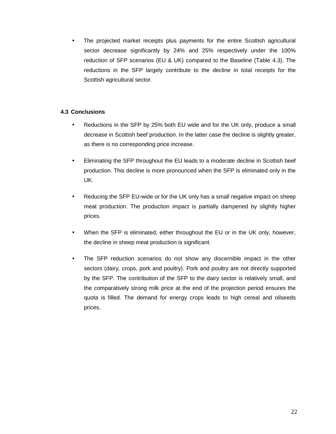The projected market receipts plus payments for the entire Scottish agricultural sector decrease significantly by 24% and 25% respectively under the 100% reduction of SFP scenarios (EU & UK) compared to the Baseline (Table 4.3). The reductions in the SFP largely contribute to the decline in total receipts for the Scottish agricultural sector.

# **4.3 Conclusions**

- Reductions in the SFP by 25% both EU wide and for the UK only, produce a small decrease in Scottish beef production. In the latter case the decline is slightly greater, as there is no corresponding price increase.
- Eliminating the SFP throughout the EU leads to a moderate decline in Scottish beef production. This decline is more pronounced when the SFP is eliminated only in the UK.
- Reducing the SFP EU-wide or for the UK only has a small negative impact on sheep meat production. The production impact is partially dampened by slightly higher prices.
- When the SFP is eliminated, either throughout the EU or in the UK only, however, the decline in sheep meat production is significant.
- The SFP reduction scenarios do not show any discernible impact in the other sectors (dairy, crops, pork and poultry). Pork and poultry are not directly supported by the SFP. The contribution of the SFP to the dairy sector is relatively small, and the comparatively strong milk price at the end of the projection period ensures the quota is filled. The demand for energy crops leads to high cereal and oilseeds prices.